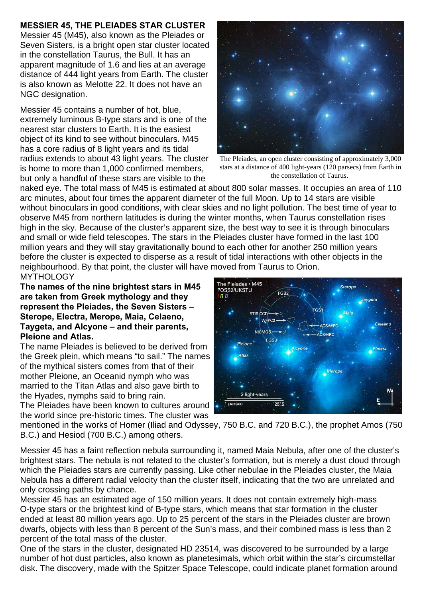## **MESSIER 45, THE PLEIADES STAR CLUSTER**

Messier 45 (M45), also known as the Pleiades or Seven Sisters, is a bright open star cluster located in the constellation Taurus, the Bull. It has an apparent magnitude of 1.6 and lies at an average distance of 444 light years from Earth. The cluster is also known as Melotte 22. It does not have an NGC designation.

Messier 45 contains a number of hot, blue, extremely luminous B-type stars and is one of the nearest star clusters to Earth. It is the easiest object of its kind to see without binoculars. M45 has a core radius of 8 light years and its tidal radius extends to about 43 light years. The cluster is home to more than 1,000 confirmed members, but only a handful of these stars are visible to the



The Pleiades, an open cluster consisting of approximately 3,000 stars at a distance of 400 light-years (120 parsecs) from Earth in the constellation of Taurus.

naked eye. The total mass of M45 is estimated at about 800 solar masses. It occupies an area of 110 arc minutes, about four times the apparent diameter of the full Moon. Up to 14 stars are visible without binoculars in good conditions, with clear skies and no light pollution. The best time of year to observe M45 from northern latitudes is during the winter months, when Taurus constellation rises high in the sky. Because of the cluster's apparent size, the best way to see it is through binoculars and small or wide field telescopes. The stars in the Pleiades cluster have formed in the last 100 million years and they will stay gravitationally bound to each other for another 250 million years before the cluster is expected to disperse as a result of tidal interactions with other objects in the neighbourhood. By that point, the cluster will have moved from Taurus to Orion. **MYTHOLOGY** 

**The names of the nine brightest stars in M45 are taken from Greek mythology and they represent the Pleiades, the Seven Sisters – Sterope, Electra, Merope, Maia, Celaeno, Taygeta, and Alcyone – and their parents, Pleione and Atlas.** 

The name Pleiades is believed to be derived from the Greek plein, which means "to sail." The names of the mythical sisters comes from that of their mother Pleione, an Oceanid nymph who was married to the Titan Atlas and also gave birth to the Hyades, nymphs said to bring rain.

The Pleiades have been known to cultures around the world since pre-historic times. The cluster was



mentioned in the works of Homer (Iliad and Odyssey, 750 B.C. and 720 B.C.), the prophet Amos (750 B.C.) and Hesiod (700 B.C.) among others.

Messier 45 has a faint reflection nebula surrounding it, named Maia Nebula, after one of the cluster's brightest stars. The nebula is not related to the cluster's formation, but is merely a dust cloud through which the Pleiades stars are currently passing. Like other nebulae in the Pleiades cluster, the Maia Nebula has a different radial velocity than the cluster itself, indicating that the two are unrelated and only crossing paths by chance.

Messier 45 has an estimated age of 150 million years. It does not contain extremely high-mass O-type stars or the brightest kind of B-type stars, which means that star formation in the cluster ended at least 80 million years ago. Up to 25 percent of the stars in the Pleiades cluster are brown dwarfs, objects with less than 8 percent of the Sun's mass, and their combined mass is less than 2 percent of the total mass of the cluster.

One of the stars in the cluster, designated HD 23514, was discovered to be surrounded by a large number of hot dust particles, also known as planetesimals, which orbit within the star's circumstellar disk. The discovery, made with the Spitzer Space Telescope, could indicate planet formation around